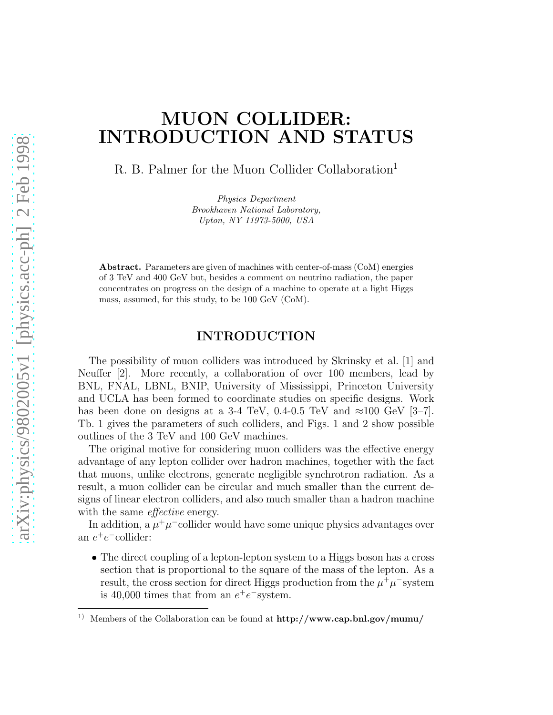# MUON COLLIDER: INTRODUCTION AND STATUS

R. B. Palmer for the Muon Collider Collaboration<sup>1</sup>

*Physics Department Brookhaven National Laboratory, Upton, NY 11973-5000, USA*

Abstract. Parameters are given of machines with center-of-mass (CoM) energies of 3 TeV and 400 GeV but, besides a comment on neutrino radiation, the paper concentrates on progress on the design of a machine to operate at a light Higgs mass, assumed, for this study, to be 100 GeV (CoM).

#### INTRODUCTION

The possibility of muon colliders was introduced by Skrinsky et al. [1] and Neuffer [2]. More recently, a collaboration of over 100 members, lead by BNL, FNAL, LBNL, BNIP, University of Mississippi, Princeton University and UCLA has been formed to coordinate studies on specific designs. Work has been done on designs at a 3-4 TeV, 0.4-0.5 TeV and  $\approx 100$  GeV [3–7]. Tb. 1 gives the parameters of such colliders, and Figs. 1 and 2 show possible outlines of the 3 TeV and 100 GeV machines.

The original motive for considering muon colliders was the effective energy advantage of any lepton collider over hadron machines, together with the fact that muons, unlike electrons, generate negligible synchrotron radiation. As a result, a muon collider can be circular and much smaller than the current designs of linear electron colliders, and also much smaller than a hadron machine with the same *effective* energy.

In addition, a  $\mu^+\mu^-$ collider would have some unique physics advantages over an  $e^+e^-$ collider:

• The direct coupling of a lepton-lepton system to a Higgs boson has a cross section that is proportional to the square of the mass of the lepton. As a result, the cross section for direct Higgs production from the  $\mu^+ \mu^-$  system is 40,000 times that from an  $e^+e^-$  system.

<sup>&</sup>lt;sup>1)</sup> Members of the Collaboration can be found at  $\frac{http://www.cap.bnl.gov/mumu/$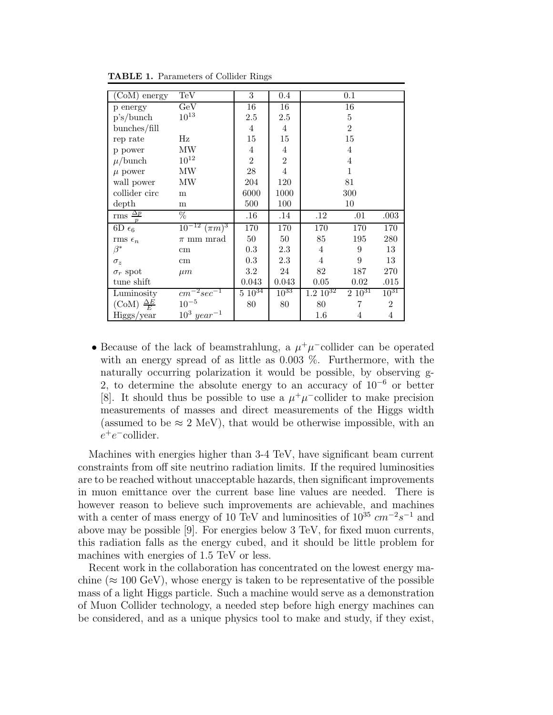| (CoM) energy               | TeV                    | 3              | 0.4            |                  | 0.1            |                |
|----------------------------|------------------------|----------------|----------------|------------------|----------------|----------------|
| p energy                   | GeV                    | 16             | 16             |                  | 16             |                |
| p's/bunch                  | $10^{13}$              | 2.5            | 2.5            |                  | $\bf 5$        |                |
| bunches/fill               |                        | $\overline{4}$ | $\overline{4}$ |                  | $\overline{2}$ |                |
| rep rate                   | Hz                     | 15             | 15             |                  | 15             |                |
| p power                    | MW                     | $\overline{4}$ | $\overline{4}$ |                  | 4              |                |
| $\mu$ /bunch               | $10^{12}$              | $\overline{2}$ | $\overline{2}$ |                  | 4              |                |
| $\mu$ power                | MW                     | 28             | $\overline{4}$ |                  | $\mathbf{1}$   |                |
| wall power                 | MW                     | 204            | 120            | 81               |                |                |
| collider circ              | m                      | 6000           | 1000           | 300              |                |                |
| depth                      | m                      | 500            | 100            | 10               |                |                |
| rms $\frac{\Delta p}{p}$   | %                      | .16            | .14            | $.12\,$          | .01            | .003           |
| $6D_{6}$                   | $10^{-12}$ $(\pi m)^3$ | 170            | 170            | 170              | 170            | 170            |
| rms $\epsilon_n$           | $\pi$ mm mrad          | 50             | 50             | 85               | 195            | 280            |
| $\beta^*$                  | $\,\mathrm{cm}$        | 0.3            | 2.3            | $\overline{4}$   | 9              | 13             |
| $\sigma_z$                 | cm                     | 0.3            | 2.3            | $\overline{4}$   | 9              | 13             |
| $\sigma_r$ spot            | $\mu m$                | $3.2\,$        | 24             | 82<br>270<br>187 |                |                |
| tune shift                 |                        | 0.043          | 0.043          | 0.05             | 0.02           | $.015\,$       |
| Luminosity                 | $cm^{-2}sec^{-1}$      | $5\,10^{34}$   | $10^{33}$      | $1.2 \; 10^{32}$ | $2\;10^{31}$   | $10^{31}$      |
| $(CoM) \frac{\Delta E}{E}$ | $10^{-5}$              | 80             | 80             | 80               | 7              | $\overline{2}$ |
| Higgs/year                 | $10^3 \, year^{-1}$    |                |                | 1.6              | 4              | 4              |

TABLE 1. Parameters of Collider Rings

• Because of the lack of beamstrahlung, a  $\mu^+\mu^-$ collider can be operated with an energy spread of as little as 0.003 %. Furthermore, with the naturally occurring polarization it would be possible, by observing g-2, to determine the absolute energy to an accuracy of  $10^{-6}$  or better [8]. It should thus be possible to use a  $\mu^+\mu^-$ collider to make precision measurements of masses and direct measurements of the Higgs width (assumed to be  $\approx 2 \text{ MeV}$ ), that would be otherwise impossible, with an  $e^+e^-$ collider.

Machines with energies higher than 3-4 TeV, have significant beam current constraints from off site neutrino radiation limits. If the required luminosities are to be reached without unacceptable hazards, then significant improvements in muon emittance over the current base line values are needed. There is however reason to believe such improvements are achievable, and machines with a center of mass energy of 10 TeV and luminosities of  $10^{35}$   $cm^{-2}s^{-1}$  and above may be possible [9]. For energies below 3 TeV, for fixed muon currents, this radiation falls as the energy cubed, and it should be little problem for machines with energies of 1.5 TeV or less.

Recent work in the collaboration has concentrated on the lowest energy machine ( $\approx 100 \text{ GeV}$ ), whose energy is taken to be representative of the possible mass of a light Higgs particle. Such a machine would serve as a demonstration of Muon Collider technology, a needed step before high energy machines can be considered, and as a unique physics tool to make and study, if they exist,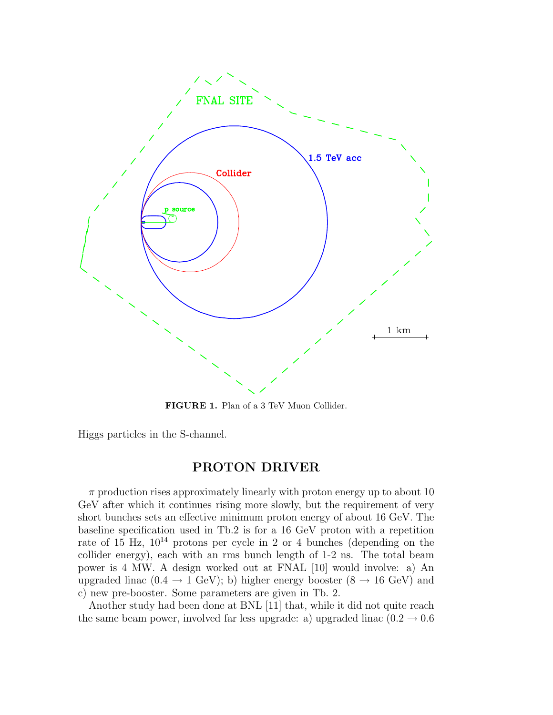

FIGURE 1. Plan of a 3 TeV Muon Collider.

Higgs particles in the S-channel.

## PROTON DRIVER

 $\pi$  production rises approximately linearly with proton energy up to about 10 GeV after which it continues rising more slowly, but the requirement of very short bunches sets an effective minimum proton energy of about 16 GeV. The baseline specification used in Tb.2 is for a 16 GeV proton with a repetition rate of 15 Hz,  $10^{14}$  protons per cycle in 2 or 4 bunches (depending on the collider energy), each with an rms bunch length of 1-2 ns. The total beam power is 4 MW. A design worked out at FNAL [10] would involve: a) An upgraded linac (0.4  $\rightarrow$  1 GeV); b) higher energy booster (8  $\rightarrow$  16 GeV) and c) new pre-booster. Some parameters are given in Tb. 2.

Another study had been done at BNL [11] that, while it did not quite reach the same beam power, involved far less upgrade: a) upgraded linac  $(0.2 \rightarrow 0.6$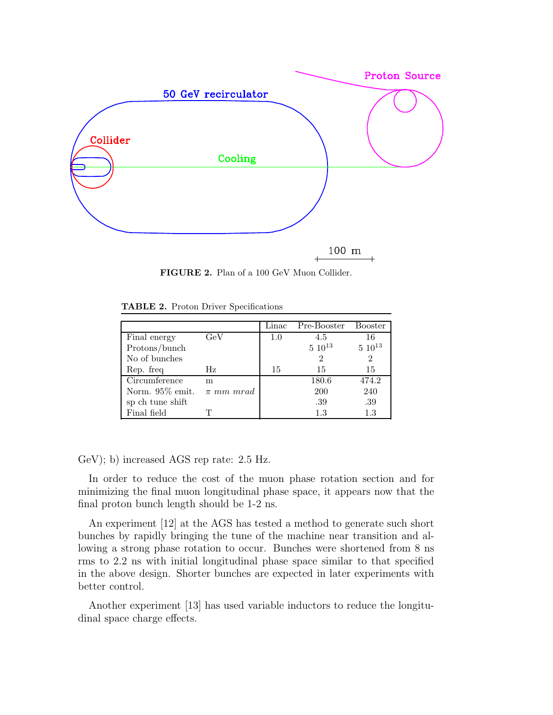

FIGURE 2. Plan of a 100 GeV Muon Collider.

|                  |               | Linac   | Pre-Booster    | <b>Booster</b> |
|------------------|---------------|---------|----------------|----------------|
| Final energy     | GeV           | $1.0\,$ | 4.5            | 16             |
| Protons/bunch    |               |         | $5\ 10^{13}$   | $5\;10^{13}$   |
| No of bunches    |               |         | $\overline{2}$ | $\overline{2}$ |
| Rep. freq        | Hz            | 15      | 15             | 15             |
| Circumference    | m             |         | 180.6          | 474.2          |
| Norm. 95% emit.  | $\pi$ mm mrad |         | <b>200</b>     | 240            |
| sp ch tune shift |               |         | .39            | .39            |
| Final field      |               |         | 1.3            | 1.3            |

TABLE 2. Proton Driver Specifications

GeV); b) increased AGS rep rate: 2.5 Hz.

In order to reduce the cost of the muon phase rotation section and for minimizing the final muon longitudinal phase space, it appears now that the final proton bunch length should be 1-2 ns.

An experiment [12] at the AGS has tested a method to generate such short bunches by rapidly bringing the tune of the machine near transition and allowing a strong phase rotation to occur. Bunches were shortened from 8 ns rms to 2.2 ns with initial longitudinal phase space similar to that specified in the above design. Shorter bunches are expected in later experiments with better control.

Another experiment [13] has used variable inductors to reduce the longitudinal space charge effects.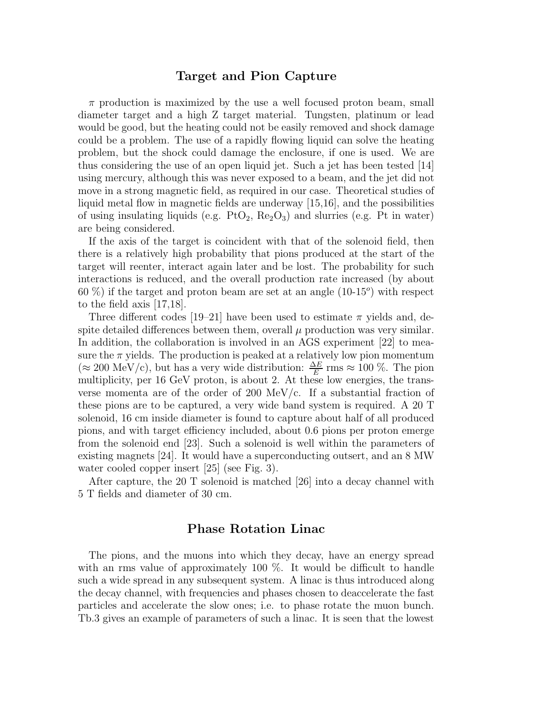#### Target and Pion Capture

 $\pi$  production is maximized by the use a well focused proton beam, small diameter target and a high Z target material. Tungsten, platinum or lead would be good, but the heating could not be easily removed and shock damage could be a problem. The use of a rapidly flowing liquid can solve the heating problem, but the shock could damage the enclosure, if one is used. We are thus considering the use of an open liquid jet. Such a jet has been tested [14] using mercury, although this was never exposed to a beam, and the jet did not move in a strong magnetic field, as required in our case. Theoretical studies of liquid metal flow in magnetic fields are underway [15,16], and the possibilities of using insulating liquids (e.g.  $PtO_2$ ,  $Re_2O_3$ ) and slurries (e.g. Pt in water) are being considered.

If the axis of the target is coincident with that of the solenoid field, then there is a relatively high probability that pions produced at the start of the target will reenter, interact again later and be lost. The probability for such interactions is reduced, and the overall production rate increased (by about  $60\%$ ) if the target and proton beam are set at an angle  $(10-15^{\circ})$  with respect to the field axis [17,18].

Three different codes [19–21] have been used to estimate  $\pi$  yields and, despite detailed differences between them, overall  $\mu$  production was very similar. In addition, the collaboration is involved in an AGS experiment [22] to measure the  $\pi$  yields. The production is peaked at a relatively low pion momentum (≈ 200 MeV/c), but has a very wide distribution:  $\frac{\Delta E}{E}$  rms ≈ 100 %. The pion multiplicity, per 16 GeV proton, is about 2. At these low energies, the transverse momenta are of the order of 200 MeV/c. If a substantial fraction of these pions are to be captured, a very wide band system is required. A 20 T solenoid, 16 cm inside diameter is found to capture about half of all produced pions, and with target efficiency included, about 0.6 pions per proton emerge from the solenoid end [23]. Such a solenoid is well within the parameters of existing magnets [24]. It would have a superconducting outsert, and an 8 MW water cooled copper insert [25] (see Fig. 3).

After capture, the 20 T solenoid is matched [26] into a decay channel with 5 T fields and diameter of 30 cm.

#### Phase Rotation Linac

The pions, and the muons into which they decay, have an energy spread with an rms value of approximately 100 %. It would be difficult to handle such a wide spread in any subsequent system. A linac is thus introduced along the decay channel, with frequencies and phases chosen to deaccelerate the fast particles and accelerate the slow ones; i.e. to phase rotate the muon bunch. Tb.3 gives an example of parameters of such a linac. It is seen that the lowest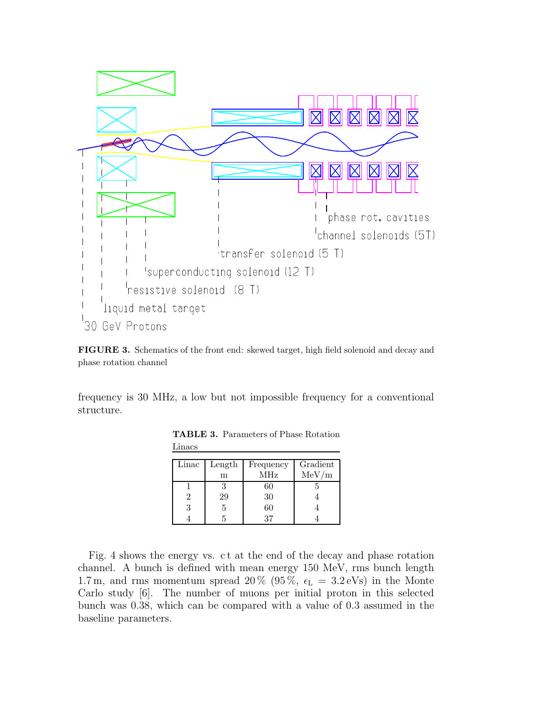

FIGURE 3. Schematics of the front end: skewed target, high field solenoid and decay and phase rotation channel

frequency is 30 MHz, a low but not impossible frequency for a conventional structure.

| Linac | Length | Frequency  | Gradient |
|-------|--------|------------|----------|
|       | m      | <b>MHz</b> | MeV/m    |
|       |        | 60         |          |
|       | 29     | 30         |          |
|       |        | 60         |          |
|       |        |            |          |

TABLE 3. Parameters of Phase Rotation Linacs

Fig. 4 shows the energy vs. c t at the end of the decay and phase rotation channel. A bunch is defined with mean energy 150 MeV, rms bunch length 1.7 m, and rms momentum spread 20 % (95 %,  $\epsilon_{\rm L}$  = 3.2 eVs) in the Monte Carlo study [6]. The number of muons per initial proton in this selected bunch was 0.38, which can be compared with a value of 0.3 assumed in the baseline parameters.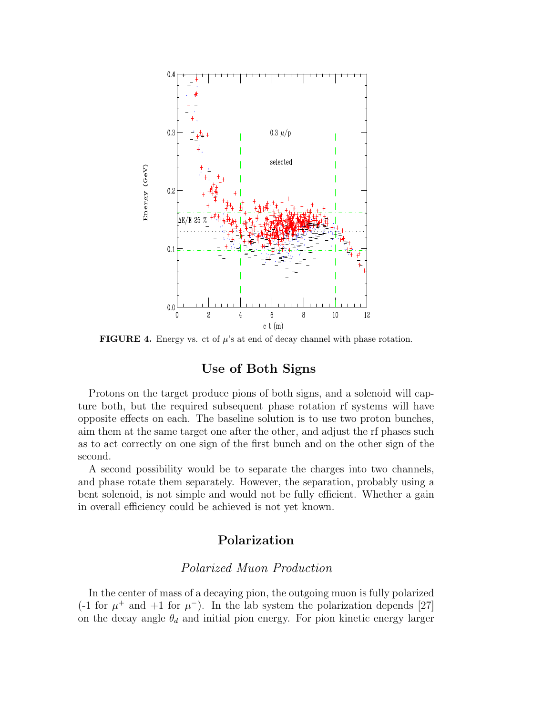

**FIGURE 4.** Energy vs. ct of  $\mu$ 's at end of decay channel with phase rotation.

# Use of Both Signs

Protons on the target produce pions of both signs, and a solenoid will capture both, but the required subsequent phase rotation rf systems will have opposite effects on each. The baseline solution is to use two proton bunches, aim them at the same target one after the other, and adjust the rf phases such as to act correctly on one sign of the first bunch and on the other sign of the second.

A second possibility would be to separate the charges into two channels, and phase rotate them separately. However, the separation, probably using a bent solenoid, is not simple and would not be fully efficient. Whether a gain in overall efficiency could be achieved is not yet known.

# Polarization

## Polarized Muon Production

In the center of mass of a decaying pion, the outgoing muon is fully polarized (-1 for  $\mu^+$  and +1 for  $\mu^-$ ). In the lab system the polarization depends [27] on the decay angle  $\theta_d$  and initial pion energy. For pion kinetic energy larger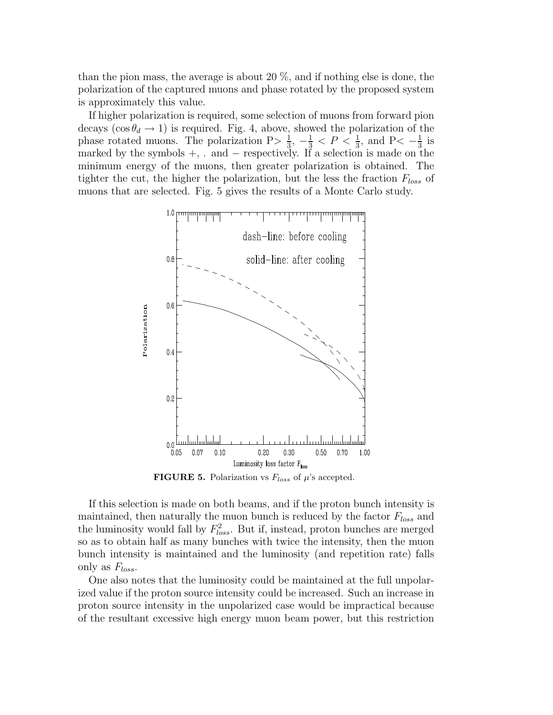than the pion mass, the average is about 20 %, and if nothing else is done, the polarization of the captured muons and phase rotated by the proposed system is approximately this value.

If higher polarization is required, some selection of muons from forward pion decays ( $\cos \theta_d \rightarrow 1$ ) is required. Fig. 4, above, showed the polarization of the phase rotated muons. The polarization  $P > \frac{1}{3}$  $\frac{1}{3}$ ,  $-\frac{1}{3}$  < P <  $\frac{1}{3}$ , and P <  $-\frac{1}{3}$  $rac{1}{3}$  is marked by the symbols  $+$ , . and  $-$  respectively. If a selection is made on the minimum energy of the muons, then greater polarization is obtained. The tighter the cut, the higher the polarization, but the less the fraction  $F_{loss}$  of muons that are selected. Fig. 5 gives the results of a Monte Carlo study.



**FIGURE 5.** Polarization vs  $F_{loss}$  of  $\mu$ 's accepted.

If this selection is made on both beams, and if the proton bunch intensity is maintained, then naturally the muon bunch is reduced by the factor  $F_{loss}$  and the luminosity would fall by  $F_{loss}^2$ . But if, instead, proton bunches are merged so as to obtain half as many bunches with twice the intensity, then the muon bunch intensity is maintained and the luminosity (and repetition rate) falls only as  $F_{loss}$ .

One also notes that the luminosity could be maintained at the full unpolarized value if the proton source intensity could be increased. Such an increase in proton source intensity in the unpolarized case would be impractical because of the resultant excessive high energy muon beam power, but this restriction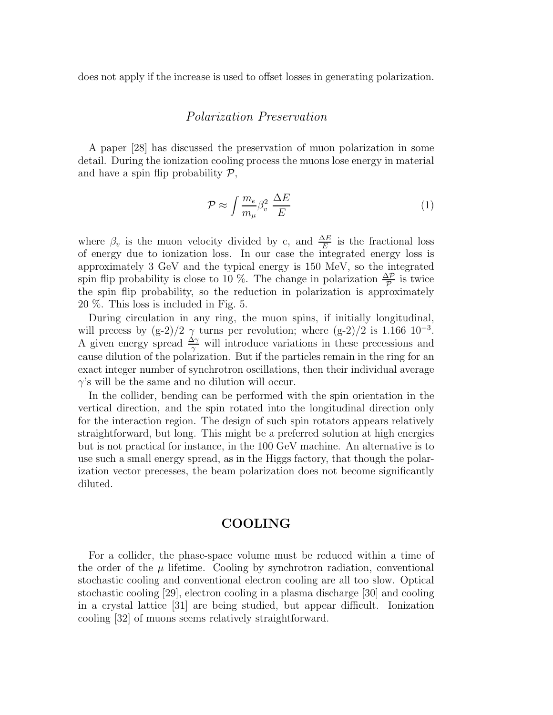does not apply if the increase is used to offset losses in generating polarization.

#### Polarization Preservation

A paper [28] has discussed the preservation of muon polarization in some detail. During the ionization cooling process the muons lose energy in material and have a spin flip probability  $P$ ,

$$
\mathcal{P} \approx \int \frac{m_e}{m_\mu} \beta_v^2 \frac{\Delta E}{E} \tag{1}
$$

where  $\beta_v$  is the muon velocity divided by c, and  $\frac{\Delta E}{E}$  is the fractional loss of energy due to ionization loss. In our case the integrated energy loss is approximately 3 GeV and the typical energy is 150 MeV, so the integrated spin flip probability is close to 10 %. The change in polarization  $\frac{\Delta \mathcal{P}}{\mathcal{P}}$  is twice the spin flip probability, so the reduction in polarization is approximately 20 %. This loss is included in Fig. 5.

During circulation in any ring, the muon spins, if initially longitudinal, will precess by  $(g-2)/2$   $\gamma$  turns per revolution; where  $(g-2)/2$  is 1.166 10<sup>-3</sup>. A given energy spread  $\frac{\Delta\gamma}{\gamma}$  will introduce variations in these precessions and cause dilution of the polarization. But if the particles remain in the ring for an exact integer number of synchrotron oscillations, then their individual average  $\gamma$ 's will be the same and no dilution will occur.

In the collider, bending can be performed with the spin orientation in the vertical direction, and the spin rotated into the longitudinal direction only for the interaction region. The design of such spin rotators appears relatively straightforward, but long. This might be a preferred solution at high energies but is not practical for instance, in the 100 GeV machine. An alternative is to use such a small energy spread, as in the Higgs factory, that though the polarization vector precesses, the beam polarization does not become significantly diluted.

## COOLING

For a collider, the phase-space volume must be reduced within a time of the order of the  $\mu$  lifetime. Cooling by synchrotron radiation, conventional stochastic cooling and conventional electron cooling are all too slow. Optical stochastic cooling [29], electron cooling in a plasma discharge [30] and cooling in a crystal lattice [31] are being studied, but appear difficult. Ionization cooling [32] of muons seems relatively straightforward.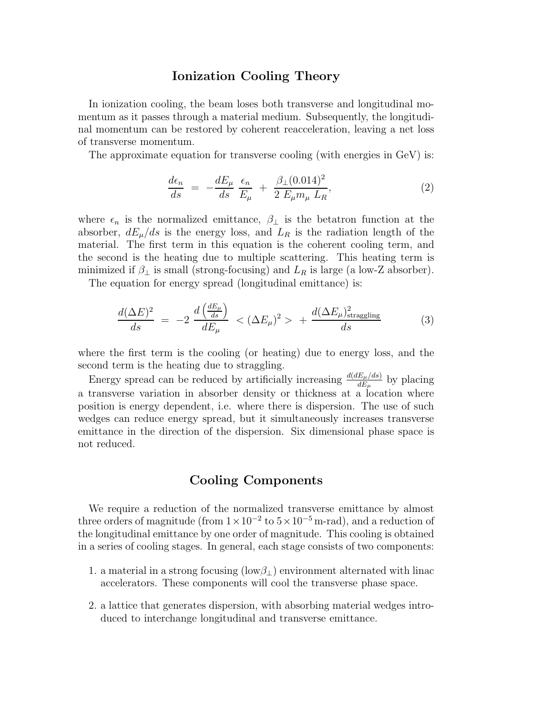#### Ionization Cooling Theory

In ionization cooling, the beam loses both transverse and longitudinal momentum as it passes through a material medium. Subsequently, the longitudinal momentum can be restored by coherent reacceleration, leaving a net loss of transverse momentum.

The approximate equation for transverse cooling (with energies in GeV) is:

$$
\frac{d\epsilon_n}{ds} = -\frac{dE_\mu}{ds} \frac{\epsilon_n}{E_\mu} + \frac{\beta_\perp (0.014)^2}{2 E_\mu m_\mu L_R},\tag{2}
$$

where  $\epsilon_n$  is the normalized emittance,  $\beta_{\perp}$  is the betatron function at the absorber,  $dE_\mu/ds$  is the energy loss, and  $L_R$  is the radiation length of the material. The first term in this equation is the coherent cooling term, and the second is the heating due to multiple scattering. This heating term is minimized if  $\beta_{\perp}$  is small (strong-focusing) and  $L_R$  is large (a low-Z absorber).

The equation for energy spread (longitudinal emittance) is:

$$
\frac{d(\Delta E)^2}{ds} = -2 \frac{d\left(\frac{dE_\mu}{ds}\right)}{dE_\mu} < (\Delta E_\mu)^2 > + \frac{d(\Delta E_\mu)_{\text{straggling}}^2}{ds} \tag{3}
$$

where the first term is the cooling (or heating) due to energy loss, and the second term is the heating due to straggling.

Energy spread can be reduced by artificially increasing  $\frac{d(dE_{\mu}/ds)}{dE_{\mu}}$  by placing a transverse variation in absorber density or thickness at a location where position is energy dependent, i.e. where there is dispersion. The use of such wedges can reduce energy spread, but it simultaneously increases transverse emittance in the direction of the dispersion. Six dimensional phase space is not reduced.

#### Cooling Components

We require a reduction of the normalized transverse emittance by almost three orders of magnitude (from  $1 \times 10^{-2}$  to  $5 \times 10^{-5}$  m-rad), and a reduction of the longitudinal emittance by one order of magnitude. This cooling is obtained in a series of cooling stages. In general, each stage consists of two components:

- 1. a material in a strong focusing (low $\beta_{\perp}$ ) environment alternated with linac accelerators. These components will cool the transverse phase space.
- 2. a lattice that generates dispersion, with absorbing material wedges introduced to interchange longitudinal and transverse emittance.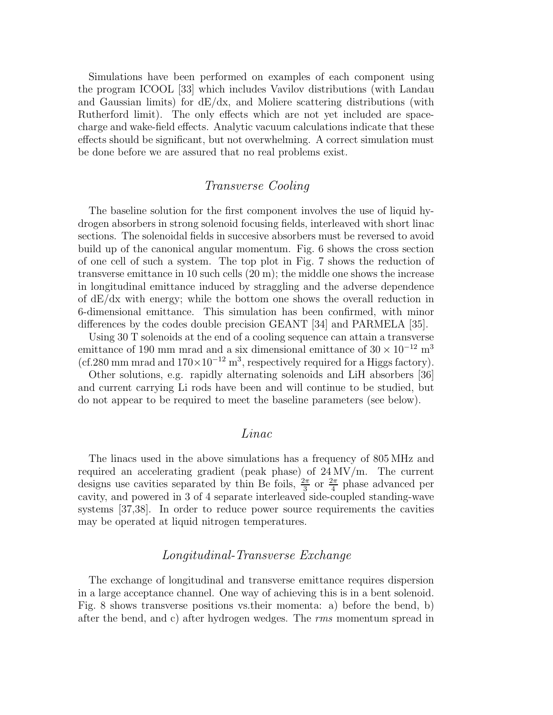Simulations have been performed on examples of each component using the program ICOOL [33] which includes Vavilov distributions (with Landau and Gaussian limits) for  $dE/dx$ , and Moliere scattering distributions (with Rutherford limit). The only effects which are not yet included are spacecharge and wake-field effects. Analytic vacuum calculations indicate that these effects should be significant, but not overwhelming. A correct simulation must be done before we are assured that no real problems exist.

#### Transverse Cooling

The baseline solution for the first component involves the use of liquid hydrogen absorbers in strong solenoid focusing fields, interleaved with short linac sections. The solenoidal fields in succesive absorbers must be reversed to avoid build up of the canonical angular momentum. Fig. 6 shows the cross section of one cell of such a system. The top plot in Fig. 7 shows the reduction of transverse emittance in 10 such cells (20 m); the middle one shows the increase in longitudinal emittance induced by straggling and the adverse dependence of  $dE/dx$  with energy; while the bottom one shows the overall reduction in 6-dimensional emittance. This simulation has been confirmed, with minor differences by the codes double precision GEANT [34] and PARMELA [35].

Using 30 T solenoids at the end of a cooling sequence can attain a transverse emittance of 190 mm mrad and a six dimensional emittance of  $30 \times 10^{-12}$  m<sup>3</sup>  $(cf.280$  mm mrad and  $170 \times 10^{-12}$  m<sup>3</sup>, respectively required for a Higgs factory).

Other solutions, e.g. rapidly alternating solenoids and LiH absorbers [36] and current carrying Li rods have been and will continue to be studied, but do not appear to be required to meet the baseline parameters (see below).

#### Linac

The linacs used in the above simulations has a frequency of 805 MHz and required an accelerating gradient (peak phase) of 24 MV/m. The current designs use cavities separated by thin Be foils,  $\frac{2\pi}{3}$  or  $\frac{2\pi}{4}$  phase advanced per cavity, and powered in 3 of 4 separate interleaved side-coupled standing-wave systems [37,38]. In order to reduce power source requirements the cavities may be operated at liquid nitrogen temperatures.

#### Longitudinal-Transverse Exchange

The exchange of longitudinal and transverse emittance requires dispersion in a large acceptance channel. One way of achieving this is in a bent solenoid. Fig. 8 shows transverse positions vs.their momenta: a) before the bend, b) after the bend, and c) after hydrogen wedges. The rms momentum spread in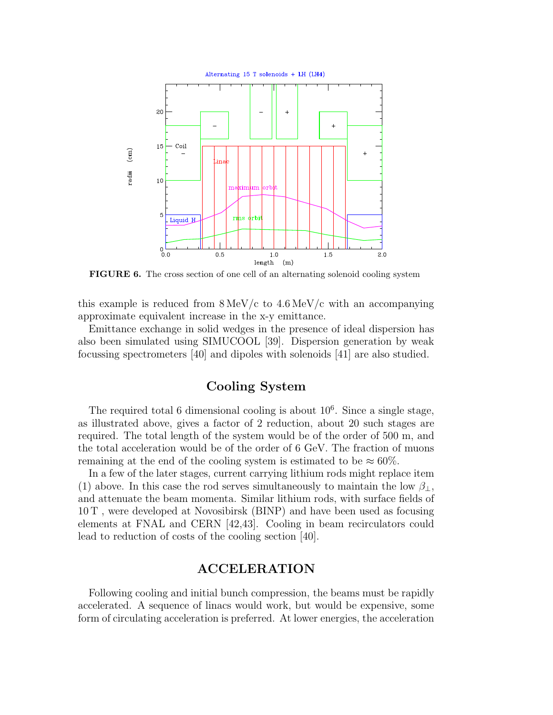

FIGURE 6. The cross section of one cell of an alternating solenoid cooling system

this example is reduced from  $8 \text{MeV}/c$  to  $4.6 \text{ MeV}/c$  with an accompanying approximate equivalent increase in the x-y emittance.

Emittance exchange in solid wedges in the presence of ideal dispersion has also been simulated using SIMUCOOL [39]. Dispersion generation by weak focussing spectrometers [40] and dipoles with solenoids [41] are also studied.

## Cooling System

The required total 6 dimensional cooling is about  $10<sup>6</sup>$ . Since a single stage, as illustrated above, gives a factor of 2 reduction, about 20 such stages are required. The total length of the system would be of the order of 500 m, and the total acceleration would be of the order of 6 GeV. The fraction of muons remaining at the end of the cooling system is estimated to be  $\approx 60\%$ .

In a few of the later stages, current carrying lithium rods might replace item (1) above. In this case the rod serves simultaneously to maintain the low  $\beta_{\perp}$ , and attenuate the beam momenta. Similar lithium rods, with surface fields of 10 T , were developed at Novosibirsk (BINP) and have been used as focusing elements at FNAL and CERN [42,43]. Cooling in beam recirculators could lead to reduction of costs of the cooling section [40].

#### ACCELERATION

Following cooling and initial bunch compression, the beams must be rapidly accelerated. A sequence of linacs would work, but would be expensive, some form of circulating acceleration is preferred. At lower energies, the acceleration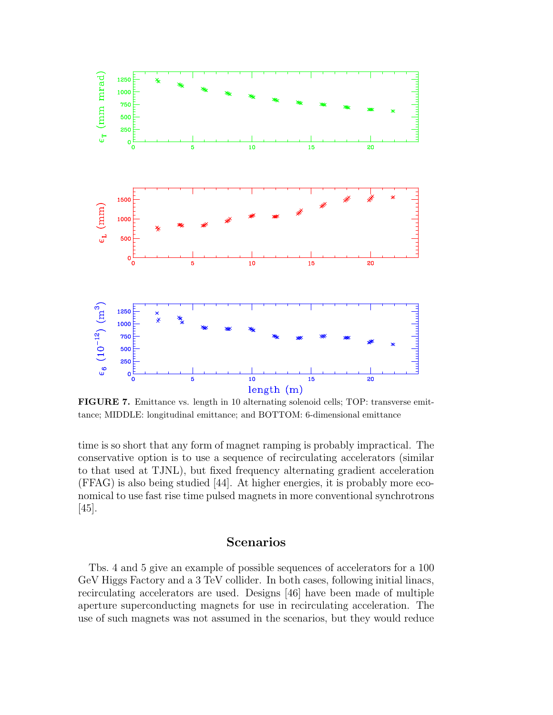

FIGURE 7. Emittance vs. length in 10 alternating solenoid cells; TOP: transverse emittance; MIDDLE: longitudinal emittance; and BOTTOM: 6-dimensional emittance

time is so short that any form of magnet ramping is probably impractical. The conservative option is to use a sequence of recirculating accelerators (similar to that used at TJNL), but fixed frequency alternating gradient acceleration (FFAG) is also being studied [44]. At higher energies, it is probably more economical to use fast rise time pulsed magnets in more conventional synchrotrons [45].

## Scenarios

Tbs. 4 and 5 give an example of possible sequences of accelerators for a 100 GeV Higgs Factory and a 3 TeV collider. In both cases, following initial linacs, recirculating accelerators are used. Designs [46] have been made of multiple aperture superconducting magnets for use in recirculating acceleration. The use of such magnets was not assumed in the scenarios, but they would reduce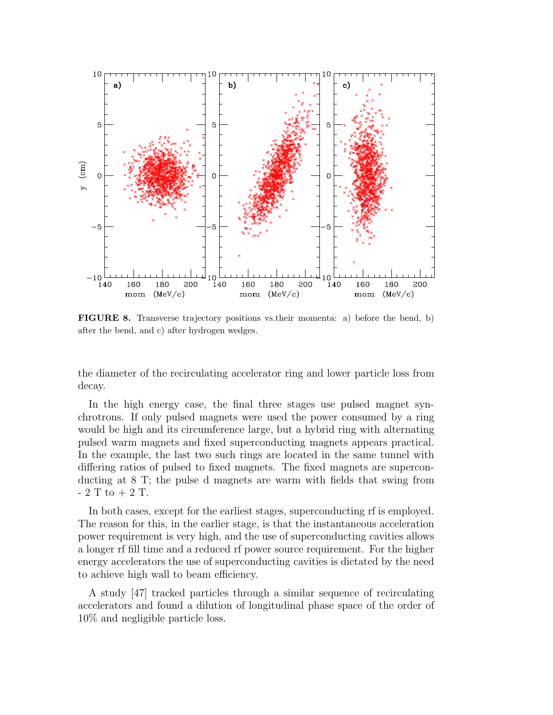

FIGURE 8. Transverse trajectory positions vs.their momenta: a) before the bend, b) after the bend, and c) after hydrogen wedges.

the diameter of the recirculating accelerator ring and lower particle loss from decay.

In the high energy case, the final three stages use pulsed magnet synchrotrons. If only pulsed magnets were used the power consumed by a ring would be high and its circumference large, but a hybrid ring with alternating pulsed warm magnets and fixed superconducting magnets appears practical. In the example, the last two such rings are located in the same tunnel with differing ratios of pulsed to fixed magnets. The fixed magnets are superconducting at 8 T; the pulse d magnets are warm with fields that swing from  $-2$  T to  $+2$  T.

In both cases, except for the earliest stages, superconducting rf is employed. The reason for this, in the earlier stage, is that the instantaneous acceleration power requirement is very high, and the use of superconducting cavities allows a longer rf fill time and a reduced rf power source requirement. For the higher energy accelerators the use of superconducting cavities is dictated by the need to achieve high wall to beam efficiency.

A study [47] tracked particles through a similar sequence of recirculating accelerators and found a dilution of longitudinal phase space of the order of 10% and negligible particle loss.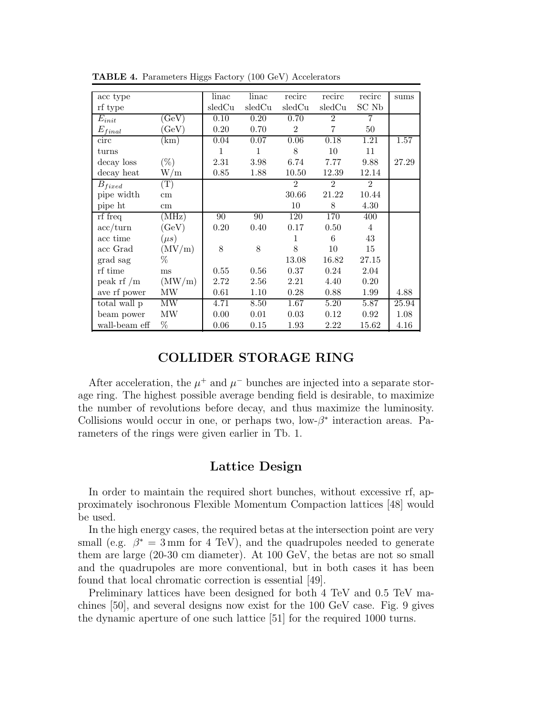| acc type                     |                  | linac  | linac        | recirc         | recirc         | recirc         | sums  |
|------------------------------|------------------|--------|--------------|----------------|----------------|----------------|-------|
| rf type                      |                  | sledCu | sledCu       | sledCu         | sledCu         | SC Nb          |       |
| $E_{init}$                   | $(\mathrm{GeV})$ | 0.10   | 0.20         | 0.70           | $\overline{2}$ | 7              |       |
| $E_{final}$                  | GeV)             | 0.20   | 0.70         | $\overline{2}$ | $\overline{7}$ | 50             |       |
| circ                         | $\rm(km)$        | 0.04   | 0.07         | 0.06           | 0.18           | 1.21           | 1.57  |
| turns                        |                  | 1      | $\mathbf{1}$ | 8              | 10             | 11             |       |
| decay loss                   | $(\%)$           | 2.31   | 3.98         | 6.74           | 7.77           | 9.88           | 27.29 |
| $\mathrm{decay}$ heat        | W/m              | 0.85   | 1.88         | 10.50          | 12.39          | 12.14          |       |
| $B_{fixed}$                  | $(\mathrm{T})$   |        |              | $\overline{2}$ | $\mathfrak{D}$ | $\mathfrak{D}$ |       |
| pipe width                   | $\,\mathrm{cm}$  |        |              | 30.66          | 21.22          | 10.44          |       |
| pipe ht                      | cm               |        |              | 10             | 8              | 4.30           |       |
| rf freq                      | (MHz)            | 90     | 90           | 120            | 170            | 400            |       |
| $\mathrm{acc}/\mathrm{turn}$ | (GeV)            | 0.20   | 0.40         | 0.17           | 0.50           | $\overline{4}$ |       |
| acc time                     | $(\mu s)$        |        |              | $\mathbf{1}$   | 6              | 43             |       |
| acc Grad                     | (MV/m)           | 8      | 8            | 8              | 10             | 15             |       |
| grad sag                     | $\%$             |        |              | 13.08          | 16.82          | 27.15          |       |
| rf time                      | ms               | 0.55   | 0.56         | 0.37           | 0.24           | 2.04           |       |
| peak rf $/m$                 | (MW/m)           | 2.72   | 2.56         | 2.21           | 4.40           | 0.20           |       |
| ave rf power                 | MW               | 0.61   | 1.10         | 0.28           | 0.88           | 1.99           | 4.88  |
| total wall p                 | MW               | 4.71   | 8.50         | 1.67           | 5.20           | 5.87           | 25.94 |
| beam power                   | MW               | 0.00   | 0.01         | 0.03           | 0.12           | 0.92           | 1.08  |
| wall-beam eff                | %                | 0.06   | 0.15         | 1.93           | 2.22           | 15.62          | 4.16  |

TABLE 4. Parameters Higgs Factory (100 GeV) Accelerators

## COLLIDER STORAGE RING

After acceleration, the  $\mu^+$  and  $\mu^-$  bunches are injected into a separate storage ring. The highest possible average bending field is desirable, to maximize the number of revolutions before decay, and thus maximize the luminosity. Collisions would occur in one, or perhaps two,  $\text{low-}\beta^*$  interaction areas. Parameters of the rings were given earlier in Tb. 1.

#### Lattice Design

In order to maintain the required short bunches, without excessive rf, approximately isochronous Flexible Momentum Compaction lattices [48] would be used.

In the high energy cases, the required betas at the intersection point are very small (e.g.  $\beta^* = 3$  mm for 4 TeV), and the quadrupoles needed to generate them are large (20-30 cm diameter). At 100 GeV, the betas are not so small and the quadrupoles are more conventional, but in both cases it has been found that local chromatic correction is essential [49].

Preliminary lattices have been designed for both 4 TeV and 0.5 TeV machines [50], and several designs now exist for the 100 GeV case. Fig. 9 gives the dynamic aperture of one such lattice [51] for the required 1000 turns.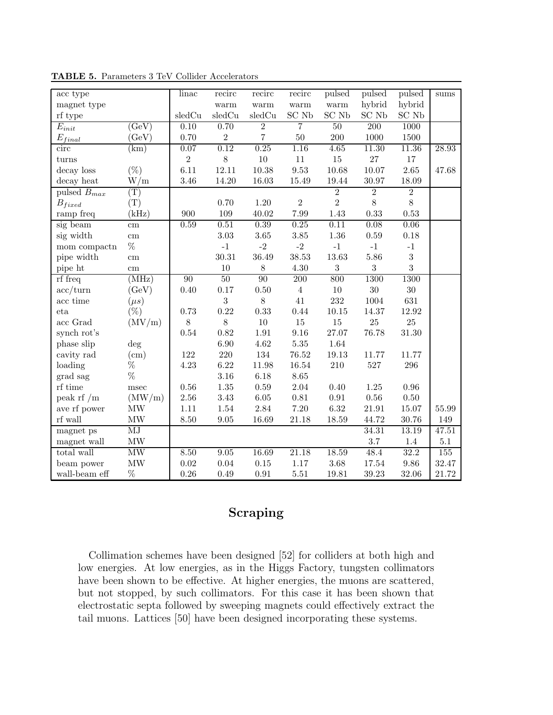| acc type            |                                 | $\overline{\text{lin}}$ ac | recirc         | recirc                            | recirc                            | pulsed            | pulsed         | pulsed         | sums      |
|---------------------|---------------------------------|----------------------------|----------------|-----------------------------------|-----------------------------------|-------------------|----------------|----------------|-----------|
| magnet type         |                                 |                            | warm           | $\ensuremath{\text{warm}}\xspace$ | $\ensuremath{\text{warm}}\xspace$ | warm              | hybrid         | hybrid         |           |
| rf type             |                                 | sledCu                     | sledCu         | sledCu                            | SC Nb                             | SC Nb             | SC Nb          | SC Nb          |           |
| $E_{init}$          | GeV                             | 0.10                       | 0.70           | $\overline{2}$                    | $\overline{7}$                    | 50                | 200            | 1000           |           |
| $E_{final}$         | GeV)                            | 0.70                       | $\,2$          | $\overline{7}$                    | $50\,$                            | 200               | 1000           | 1500           |           |
| circ                | $\rm(km)$                       | 0.07                       | 0.12           | 0.25                              | 1.16                              | 4.65              | 11.30          | 11.36          | 28.93     |
| turns               |                                 | $\,2$                      | 8              | $10\,$                            | $11\,$                            | $15\,$            | $27\,$         | $17\,$         |           |
| decay loss          | $(\%)$                          | 6.11                       | 12.11          | 10.38                             | 9.53                              | 10.68             | 10.07          | 2.65           | 47.68     |
| decay heat          | W/m                             | 3.46                       | 14.20          | 16.03                             | 15.49                             | 19.44             | 30.97          | 18.09          |           |
| pulsed $B_{max}$    | $(\mathrm{T})$                  |                            |                |                                   |                                   | $\overline{2}$    | $\overline{2}$ | $\overline{2}$ |           |
| $B_{fixed}$         | (T)                             |                            | 0.70           | 1.20                              | $\overline{2}$                    | $\overline{2}$    | $8\,$          | $8\,$          |           |
| ramp freq           | (kHz)                           | 900                        | 109            | 40.02                             | 7.99                              | 1.43              | 0.33           | 0.53           |           |
| sig beam            | cm                              | 0.59                       | 0.51           | 0.39                              | 0.25                              | $\overline{0.11}$ | 0.08           | 0.06           |           |
| sig width           | $\,\mathrm{cm}$                 |                            | 3.03           | $3.65\,$                          | $3.85\,$                          | $1.36\,$          | 0.59           | 0.18           |           |
| mom compactn        | $\%$                            |                            | $-1$           | $-2$                              | $-2$                              | $-1$              | $-1$           | $-1$           |           |
| pipe width          | $\,\mathrm{cm}$                 |                            | 30.31          | 36.49                             | 38.53                             | 13.63             | 5.86           | $\sqrt{3}$     |           |
| pipe ht             | cm                              |                            | 10             | $8\,$                             | 4.30                              | $\sqrt{3}$        | 3              | $\overline{3}$ |           |
| rf freq             | (MHz)                           | 90                         | 50             | 90                                | 200                               | 800               | 1300           | 1300           |           |
| acc/turn            | (GeV)                           | 0.40                       | 0.17           | 0.50                              | $\overline{4}$                    | 10                | 30             | 30             |           |
| acc time            | $(\mu s)$                       |                            | $\overline{3}$ | 8                                 | 41                                | 232               | 1004           | 631            |           |
| eta                 | $(\%)$                          | 0.73                       | 0.22           | 0.33                              | 0.44                              | 10.15             | 14.37          | 12.92          |           |
| acc Grad            | (MV/m)                          | $8\,$                      | $8\,$          | $10\,$                            | $15\,$                            | $15\,$            | $25\,$         | $25\,$         |           |
| synch rot's         |                                 | 0.54                       | 0.82           | 1.91                              | 9.16                              | 27.07             | 76.78          | $31.30\,$      |           |
| phase slip          | $\deg$                          |                            | 6.90           | 4.62                              | $5.35\,$                          | 1.64              |                |                |           |
| cavity rad          | (cm)                            | 122                        | $220\,$        | 134                               | $76.52\,$                         | 19.13             | 11.77          | 11.77          |           |
| loading             | $\%$                            | 4.23                       | 6.22           | 11.98                             | 16.54                             | 210               | 527            | 296            |           |
| grad sag            | %                               |                            | 3.16           | 6.18                              | 8.65                              |                   |                |                |           |
| rf time             | $_{\rm msec}$                   | $0.56\,$                   | $1.35\,$       | 0.59                              | 2.04                              | 0.40              | $1.25\,$       | 0.96           |           |
| peak rf $/m$        | (MW/m)                          | $2.56\,$                   | 3.43           | $6.05\,$                          | $\rm 0.81$                        | $\rm 0.91$        | $0.56\,$       | $0.50\,$       |           |
| ave rf power        | $\ensuremath{\text{MW}}\xspace$ | 1.11                       | $1.54\,$       | 2.84                              | 7.20                              | 6.32              | 21.91          | 15.07          | $55.99\,$ |
| $\mathbf{r}$ f wall | $\operatorname{MW}$             | 8.50                       | $\ \, 9.05$    | 16.69                             | $21.18\,$                         | 18.59             | 44.72          | 30.76          | 149       |
| magnet ps           | $\overline{\mathrm{MJ}}$        |                            |                |                                   |                                   |                   | 34.31          | 13.19          | 47.51     |
| magnet wall         | $\operatorname{MW}$             |                            |                |                                   |                                   |                   | 3.7            | $1.4\,$        | $5.1\,$   |
| total wall          | MW                              | 8.50                       | 9.05           | 16.69                             | 21.18                             | 18.59             | 48.4           | 32.2           | 155       |
| beam power          | MW                              | 0.02                       | 0.04           | 0.15                              | 1.17                              | 3.68              | 17.54          | 9.86           | 32.47     |
| wall-beam eff       | $\%$                            | 0.26                       | 0.49           | 0.91                              | $5.51\,$                          | 19.81             | 39.23          | 32.06          | 21.72     |

TABLE 5. Parameters 3 TeV Collider Accelerators

# Scraping

Collimation schemes have been designed [52] for colliders at both high and low energies. At low energies, as in the Higgs Factory, tungsten collimators have been shown to be effective. At higher energies, the muons are scattered, but not stopped, by such collimators. For this case it has been shown that electrostatic septa followed by sweeping magnets could effectively extract the tail muons. Lattices [50] have been designed incorporating these systems.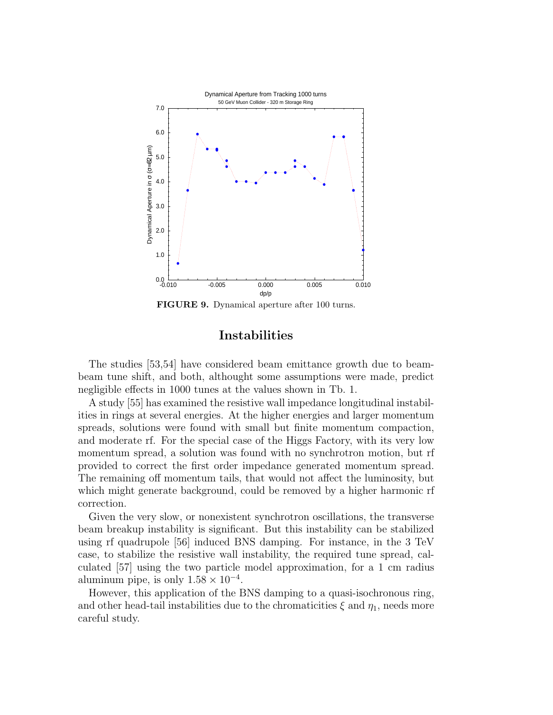

FIGURE 9. Dynamical aperture after 100 turns.

## Instabilities

The studies [53,54] have considered beam emittance growth due to beambeam tune shift, and both, althought some assumptions were made, predict negligible effects in 1000 tunes at the values shown in Tb. 1.

A study [55] has examined the resistive wall impedance longitudinal instabilities in rings at several energies. At the higher energies and larger momentum spreads, solutions were found with small but finite momentum compaction, and moderate rf. For the special case of the Higgs Factory, with its very low momentum spread, a solution was found with no synchrotron motion, but rf provided to correct the first order impedance generated momentum spread. The remaining off momentum tails, that would not affect the luminosity, but which might generate background, could be removed by a higher harmonic rf correction.

Given the very slow, or nonexistent synchrotron oscillations, the transverse beam breakup instability is significant. But this instability can be stabilized using rf quadrupole [56] induced BNS damping. For instance, in the 3 TeV case, to stabilize the resistive wall instability, the required tune spread, calculated [57] using the two particle model approximation, for a 1 cm radius aluminum pipe, is only  $1.58 \times 10^{-4}$ .

However, this application of the BNS damping to a quasi-isochronous ring, and other head-tail instabilities due to the chromaticities  $\xi$  and  $\eta_1$ , needs more careful study.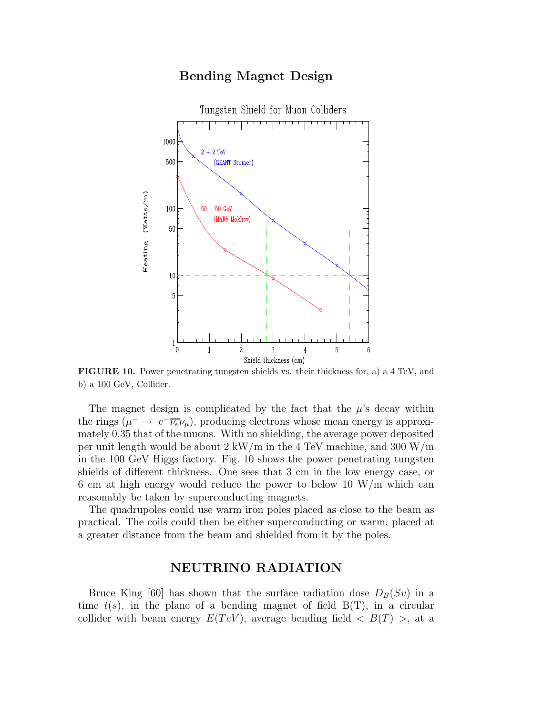#### Bending Magnet Design



FIGURE 10. Power penetrating tungsten shields vs. their thickness for, a) a 4 TeV, and b) a 100 GeV, Collider.

The magnet design is complicated by the fact that the  $\mu$ 's decay within the rings  $(\mu^- \to e^- \overline{\nu_e} \nu_\mu)$ , producing electrons whose mean energy is approximately 0.35 that of the muons. With no shielding, the average power deposited per unit length would be about 2 kW/m in the 4 TeV machine, and 300 W/m in the 100 GeV Higgs factory. Fig. 10 shows the power penetrating tungsten shields of different thickness. One sees that 3 cm in the low energy case, or 6 cm at high energy would reduce the power to below 10 W/m which can reasonably be taken by superconducting magnets.

The quadrupoles could use warm iron poles placed as close to the beam as practical. The coils could then be either superconducting or warm, placed at a greater distance from the beam and shielded from it by the poles.

## NEUTRINO RADIATION

Bruce King [60] has shown that the surface radiation dose  $D_B(Sv)$  in a time  $t(s)$ , in the plane of a bending magnet of field  $B(T)$ , in a circular collider with beam energy  $E(TeV)$ , average bending field  $\langle B(T) \rangle$ , at a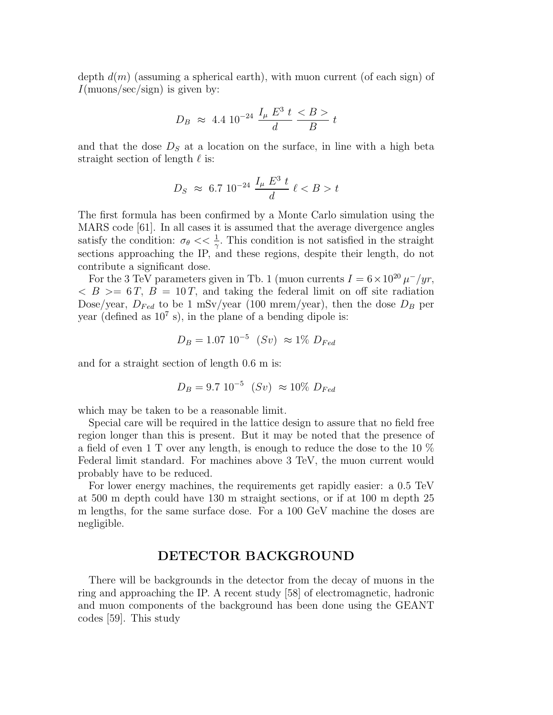depth  $d(m)$  (assuming a spherical earth), with muon current (of each sign) of  $I(\text{muons/sec/sign})$  is given by:

$$
D_B \approx 4.4 \, 10^{-24} \, \frac{I_\mu \, E^3 \, t}{d} \, \frac{}{B} \, t
$$

and that the dose  $D<sub>S</sub>$  at a location on the surface, in line with a high beta straight section of length  $\ell$  is:

$$
D_S \approx 6.7 \ 10^{-24} \ \frac{I_\mu \ E^3 \ t}{d} \ \ell < B > t
$$

The first formula has been confirmed by a Monte Carlo simulation using the MARS code [61]. In all cases it is assumed that the average divergence angles satisfy the condition:  $\sigma_{\theta} \ll \frac{1}{\gamma}$ . This condition is not satisfied in the straight sections approaching the IP, and these regions, despite their length, do not contribute a significant dose.

For the 3 TeV parameters given in Tb. 1 (muon currents  $I = 6 \times 10^{20} \mu^{-}/yr$ ,  $\langle B \rangle = 6T$ ,  $B = 10T$ , and taking the federal limit on off site radiation Dose/year,  $D_{Fed}$  to be 1 mSv/year (100 mrem/year), then the dose  $D_B$  per year (defined as  $10^7$  s), in the plane of a bending dipole is:

$$
D_B = 1.07 \; 10^{-5} \; (Sv) \; \approx 1\% \; D_{Fed}
$$

and for a straight section of length 0.6 m is:

$$
D_B = 9.7 \ 10^{-5} \ (Sv) \approx 10\% \ D_{Fed}
$$

which may be taken to be a reasonable limit.

Special care will be required in the lattice design to assure that no field free region longer than this is present. But it may be noted that the presence of a field of even 1 T over any length, is enough to reduce the dose to the 10 % Federal limit standard. For machines above 3 TeV, the muon current would probably have to be reduced.

For lower energy machines, the requirements get rapidly easier: a 0.5 TeV at 500 m depth could have 130 m straight sections, or if at 100 m depth 25 m lengths, for the same surface dose. For a 100 GeV machine the doses are negligible.

## DETECTOR BACKGROUND

There will be backgrounds in the detector from the decay of muons in the ring and approaching the IP. A recent study [58] of electromagnetic, hadronic and muon components of the background has been done using the GEANT codes [59]. This study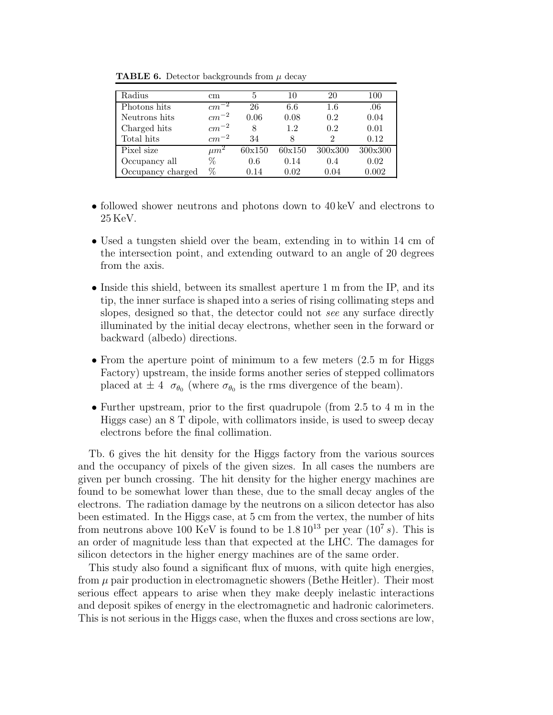| Radius            | cm.       | 5      | 10     | 20      | 100     |
|-------------------|-----------|--------|--------|---------|---------|
| Photons hits      | $cm^{-}$  | 26     | 6.6    | $1.6\,$ | .06     |
| Neutrons hits     | $cm^{-2}$ | 0.06   | 0.08   | 0.2     | 0.04    |
| Charged hits      | $cm^{-2}$ | 8      | 1.2    | 0.2     | 0.01    |
| Total hits        | $cm^{-2}$ | 34     | 8      | 2       | 0.12    |
| Pixel size        | $\mu m^2$ | 60x150 | 60x150 | 300x300 | 300x300 |
| Occupancy all     | %         | 0.6    | 0.14   | 0.4     | 0.02    |
| Occupancy charged | %         | 0.14   | 0.02   | 0.04    | 0.002   |

**TABLE 6.** Detector backgrounds from  $\mu$  decay

- followed shower neutrons and photons down to 40 keV and electrons to 25 KeV.
- Used a tungsten shield over the beam, extending in to within 14 cm of the intersection point, and extending outward to an angle of 20 degrees from the axis.
- Inside this shield, between its smallest aperture 1 m from the IP, and its tip, the inner surface is shaped into a series of rising collimating steps and slopes, designed so that, the detector could not see any surface directly illuminated by the initial decay electrons, whether seen in the forward or backward (albedo) directions.
- From the aperture point of minimum to a few meters  $(2.5 \text{ m})$  for Higgs Factory) upstream, the inside forms another series of stepped collimators placed at  $\pm 4$   $\sigma_{\theta_0}$  (where  $\sigma_{\theta_0}$  is the rms divergence of the beam).
- Further upstream, prior to the first quadrupole (from 2.5 to 4 m in the Higgs case) an 8 T dipole, with collimators inside, is used to sweep decay electrons before the final collimation.

Tb. 6 gives the hit density for the Higgs factory from the various sources and the occupancy of pixels of the given sizes. In all cases the numbers are given per bunch crossing. The hit density for the higher energy machines are found to be somewhat lower than these, due to the small decay angles of the electrons. The radiation damage by the neutrons on a silicon detector has also been estimated. In the Higgs case, at 5 cm from the vertex, the number of hits from neutrons above 100 KeV is found to be  $1.8\,10^{13}$  per year  $(10^7 s)$ . This is an order of magnitude less than that expected at the LHC. The damages for silicon detectors in the higher energy machines are of the same order.

This study also found a significant flux of muons, with quite high energies, from  $\mu$  pair production in electromagnetic showers (Bethe Heitler). Their most serious effect appears to arise when they make deeply inelastic interactions and deposit spikes of energy in the electromagnetic and hadronic calorimeters. This is not serious in the Higgs case, when the fluxes and cross sections are low,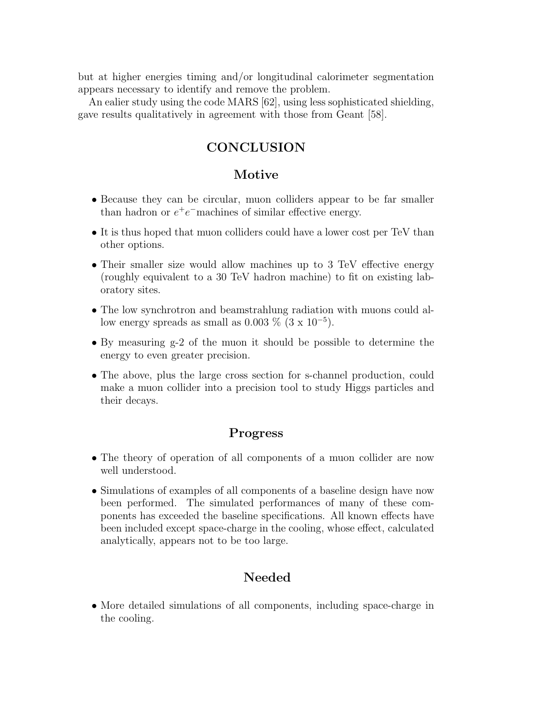but at higher energies timing and/or longitudinal calorimeter segmentation appears necessary to identify and remove the problem.

An ealier study using the code MARS [62], using less sophisticated shielding, gave results qualitatively in agreement with those from Geant [58].

# **CONCLUSION**

## Motive

- Because they can be circular, muon colliders appear to be far smaller than hadron or  $e^+e^-$ machines of similar effective energy.
- It is thus hoped that muon colliders could have a lower cost per TeV than other options.
- Their smaller size would allow machines up to 3 TeV effective energy (roughly equivalent to a 30 TeV hadron machine) to fit on existing laboratory sites.
- The low synchrotron and beamstrahlung radiation with muons could allow energy spreads as small as  $0.003\%$  (3 x  $10^{-5}$ ).
- By measuring g-2 of the muon it should be possible to determine the energy to even greater precision.
- The above, plus the large cross section for s-channel production, could make a muon collider into a precision tool to study Higgs particles and their decays.

## Progress

- The theory of operation of all components of a muon collider are now well understood.
- Simulations of examples of all components of a baseline design have now been performed. The simulated performances of many of these components has exceeded the baseline specifications. All known effects have been included except space-charge in the cooling, whose effect, calculated analytically, appears not to be too large.

# Needed

• More detailed simulations of all components, including space-charge in the cooling.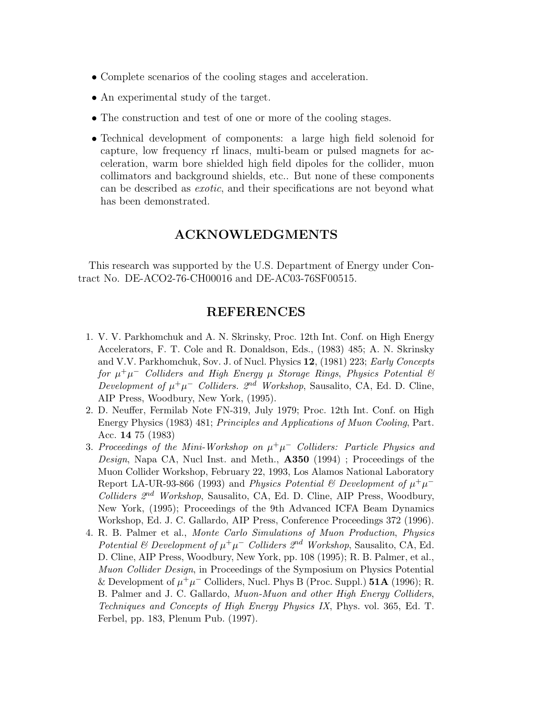- Complete scenarios of the cooling stages and acceleration.
- An experimental study of the target.
- The construction and test of one or more of the cooling stages.
- Technical development of components: a large high field solenoid for capture, low frequency rf linacs, multi-beam or pulsed magnets for acceleration, warm bore shielded high field dipoles for the collider, muon collimators and background shields, etc.. But none of these components can be described as exotic, and their specifications are not beyond what has been demonstrated.

# ACKNOWLEDGMENTS

This research was supported by the U.S. Department of Energy under Contract No. DE-ACO2-76-CH00016 and DE-AC03-76SF00515.

## REFERENCES

- 1. V. V. Parkhomchuk and A. N. Skrinsky, Proc. 12th Int. Conf. on High Energy Accelerators, F. T. Cole and R. Donaldson, Eds., (1983) 485; A. N. Skrinsky and V.V. Parkhomchuk, Sov. J. of Nucl. Physics 12, (1981) 223; *Early Concepts for* µ <sup>+</sup>µ <sup>−</sup> *Colliders and High Energy* µ *Storage Rings*, *Physics Potential & Development of*  $\mu^+\mu^-$  *Colliders.*  $2^{nd}$  *Workshop*, Sausalito, CA, Ed. D. Cline, AIP Press, Woodbury, New York, (1995).
- 2. D. Neuffer, Fermilab Note FN-319, July 1979; Proc. 12th Int. Conf. on High Energy Physics (1983) 481; *Principles and Applications of Muon Cooling*, Part. Acc. 14 75 (1983)
- 3. Proceedings of the Mini-Workshop on  $\mu^+\mu^-$  Colliders: Particle Physics and *Design*, Napa CA, Nucl Inst. and Meth., A350 (1994) ; Proceedings of the Muon Collider Workshop, February 22, 1993, Los Alamos National Laboratory Report LA-UR-93-866 (1993) and *Physics Potential & Development of*  $\mu^+\mu^-$ *Colliders 2*nd *Workshop*, Sausalito, CA, Ed. D. Cline, AIP Press, Woodbury, New York, (1995); Proceedings of the 9th Advanced ICFA Beam Dynamics Workshop, Ed. J. C. Gallardo, AIP Press, Conference Proceedings 372 (1996).
- 4. R. B. Palmer et al., *Monte Carlo Simulations of Muon Production*, *Physics Potential & Development of*  $\mu^+\mu^-$  *Colliders*  $2^{nd}$  *Workshop*, Sausalito, CA, Ed. D. Cline, AIP Press, Woodbury, New York, pp. 108 (1995); R. B. Palmer, et al., *Muon Collider Design*, in Proceedings of the Symposium on Physics Potential & Development of  $\mu^+\mu^-$  Colliders, Nucl. Phys B (Proc. Suppl.) **51A** (1996); R. B. Palmer and J. C. Gallardo, *Muon-Muon and other High Energy Colliders*, *Techniques and Concepts of High Energy Physics IX*, Phys. vol. 365, Ed. T. Ferbel, pp. 183, Plenum Pub. (1997).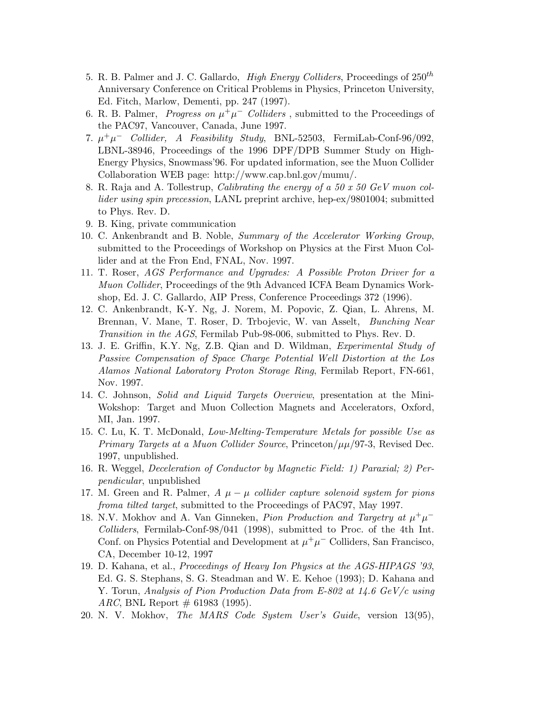- 5. R. B. Palmer and J. C. Gallardo, *High Energy Colliders*, Proceedings of  $250<sup>th</sup>$ Anniversary Conference on Critical Problems in Physics, Princeton University, Ed. Fitch, Marlow, Dementi, pp. 247 (1997).
- 6. R. B. Palmer, *Progress on*  $\mu^+ \mu^-$  *Colliders*, submitted to the Proceedings of the PAC97, Vancouver, Canada, June 1997.
- 7.  $\mu^+\mu^-$  *Collider, A Feasibility Study*, BNL-52503, FermiLab-Conf-96/092, LBNL-38946, Proceedings of the 1996 DPF/DPB Summer Study on High-Energy Physics, Snowmass'96. For updated information, see the Muon Collider Collaboration WEB page: http://www.cap.bnl.gov/mumu/.
- 8. R. Raja and A. Tollestrup, *Calibrating the energy of a 50 x 50 GeV muon collider using spin precession*, LANL preprint archive, hep-ex/9801004; submitted to Phys. Rev. D.
- 9. B. King, private communication
- 10. C. Ankenbrandt and B. Noble, *Summary of the Accelerator Working Group*, submitted to the Proceedings of Workshop on Physics at the First Muon Collider and at the Fron End, FNAL, Nov. 1997.
- 11. T. Roser, *AGS Performance and Upgrades: A Possible Proton Driver for a Muon Collider*, Proceedings of the 9th Advanced ICFA Beam Dynamics Workshop, Ed. J. C. Gallardo, AIP Press, Conference Proceedings 372 (1996).
- 12. C. Ankenbrandt, K-Y. Ng, J. Norem, M. Popovic, Z. Qian, L. Ahrens, M. Brennan, V. Mane, T. Roser, D. Trbojevic, W. van Asselt, *Bunching Near Transition in the AGS*, Fermilab Pub-98-006, submitted to Phys. Rev. D.
- 13. J. E. Griffin, K.Y. Ng, Z.B. Qian and D. Wildman, *Experimental Study of Passive Compensation of Space Charge Potential Well Distortion at the Los Alamos National Laboratory Proton Storage Ring*, Fermilab Report, FN-661, Nov. 1997.
- 14. C. Johnson, *Solid and Liquid Targets Overview*, presentation at the Mini-Wokshop: Target and Muon Collection Magnets and Accelerators, Oxford, MI, Jan. 1997.
- 15. C. Lu, K. T. McDonald, *Low-Melting-Temperature Metals for possible Use as Primary Targets at a Muon Collider Source*, Princeton/ $\mu\mu/97-3$ , Revised Dec. 1997, unpublished.
- 16. R. Weggel, *Deceleration of Conductor by Magnetic Field: 1) Paraxial; 2) Perpendicular*, unpublished
- 17. M. Green and R. Palmer, *A* µ − µ *collider capture solenoid system for pions froma tilted target*, submitted to the Proceedings of PAC97, May 1997.
- 18. N.V. Mokhov and A. Van Ginneken, *Pion Production and Targetry at*  $\mu^+ \mu^-$ *Colliders*, Fermilab-Conf-98/041 (1998), submitted to Proc. of the 4th Int. Conf. on Physics Potential and Development at  $\mu^+\mu^-$  Colliders, San Francisco, CA, December 10-12, 1997
- 19. D. Kahana, et al., *Proceedings of Heavy Ion Physics at the AGS-HIPAGS '93*, Ed. G. S. Stephans, S. G. Steadman and W. E. Kehoe (1993); D. Kahana and Y. Torun, *Analysis of Pion Production Data from E-802 at 14.6 GeV/c using ARC*, BNL Report  $\#$  61983 (1995).
- 20. N. V. Mokhov, *The MARS Code System User's Guide*, version 13(95),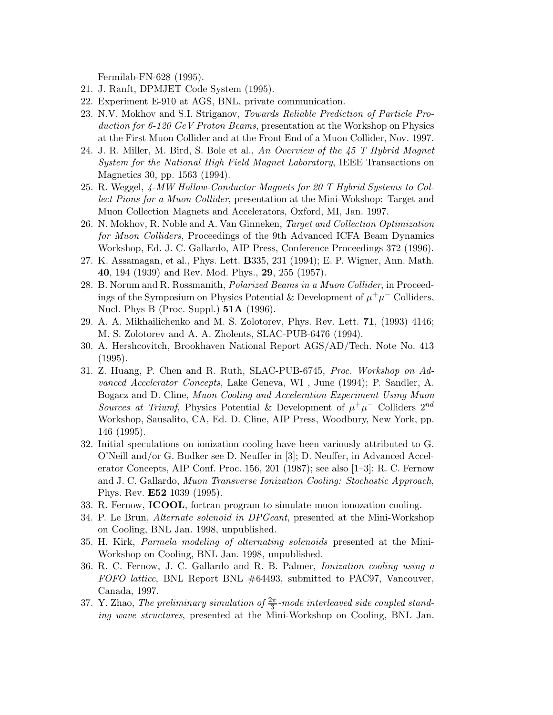Fermilab-FN-628 (1995).

- 21. J. Ranft, DPMJET Code System (1995).
- 22. Experiment E-910 at AGS, BNL, private communication.
- 23. N.V. Mokhov and S.I. Striganov, *Towards Reliable Prediction of Particle Production for 6-120 GeV Proton Beams*, presentation at the Workshop on Physics at the First Muon Collider and at the Front End of a Muon Collider, Nov. 1997.
- 24. J. R. Miller, M. Bird, S. Bole et al., *An Overview of the 45 T Hybrid Magnet System for the National High Field Magnet Laboratory*, IEEE Transactions on Magnetics 30, pp. 1563 (1994).
- 25. R. Weggel, *4-MW Hollow-Conductor Magnets for 20 T Hybrid Systems to Collect Pions for a Muon Collider*, presentation at the Mini-Wokshop: Target and Muon Collection Magnets and Accelerators, Oxford, MI, Jan. 1997.
- 26. N. Mokhov, R. Noble and A. Van Ginneken, *Target and Collection Optimization for Muon Colliders*, Proceedings of the 9th Advanced ICFA Beam Dynamics Workshop, Ed. J. C. Gallardo, AIP Press, Conference Proceedings 372 (1996).
- 27. K. Assamagan, et al., Phys. Lett. B335, 231 (1994); E. P. Wigner, Ann. Math. 40, 194 (1939) and Rev. Mod. Phys., 29, 255 (1957).
- 28. B. Norum and R. Rossmanith, *Polarized Beams in a Muon Collider*, in Proceedings of the Symposium on Physics Potential & Development of  $\mu^+\mu^-$  Colliders, Nucl. Phys B (Proc. Suppl.) 51A (1996).
- 29. A. A. Mikhailichenko and M. S. Zolotorev, Phys. Rev. Lett. 71, (1993) 4146; M. S. Zolotorev and A. A. Zholents, SLAC-PUB-6476 (1994).
- 30. A. Hershcovitch, Brookhaven National Report AGS/AD/Tech. Note No. 413 (1995).
- 31. Z. Huang, P. Chen and R. Ruth, SLAC-PUB-6745, *Proc. Workshop on Advanced Accelerator Concepts*, Lake Geneva, WI , June (1994); P. Sandler, A. Bogacz and D. Cline, *Muon Cooling and Acceleration Experiment Using Muon Sources at Triumf*, Physics Potential & Development of  $\mu^+\mu^-$  Colliders  $2^{nd}$ Workshop, Sausalito, CA, Ed. D. Cline, AIP Press, Woodbury, New York, pp. 146 (1995).
- 32. Initial speculations on ionization cooling have been variously attributed to G. O'Neill and/or G. Budker see D. Neuffer in [3]; D. Neuffer, in Advanced Accelerator Concepts, AIP Conf. Proc. 156, 201 (1987); see also [1–3]; R. C. Fernow and J. C. Gallardo, *Muon Transverse Ionization Cooling: Stochastic Approach*, Phys. Rev. E52 1039 (1995).
- 33. R. Fernow, ICOOL, fortran program to simulate muon ionozation cooling.
- 34. P. Le Brun, *Alternate solenoid in DPGeant*, presented at the Mini-Workshop on Cooling, BNL Jan. 1998, unpublished.
- 35. H. Kirk, *Parmela modeling of alternating solenoids* presented at the Mini-Workshop on Cooling, BNL Jan. 1998, unpublished.
- 36. R. C. Fernow, J. C. Gallardo and R. B. Palmer, *Ionization cooling using a FOFO lattice*, BNL Report BNL #64493, submitted to PAC97, Vancouver, Canada, 1997.
- 37. Y. Zhao, *The preliminary simulation of*  $\frac{2\pi}{3}$ -mode interleaved side coupled stand*ing wave structures*, presented at the Mini-Workshop on Cooling, BNL Jan.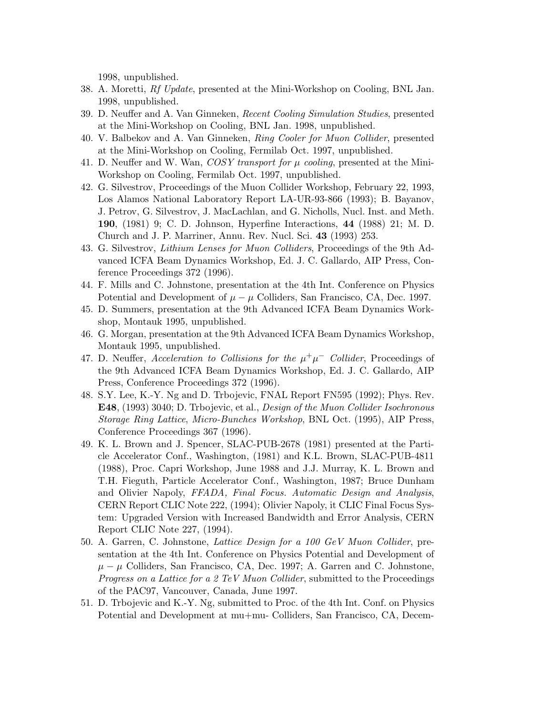1998, unpublished.

- 38. A. Moretti, *Rf Update*, presented at the Mini-Workshop on Cooling, BNL Jan. 1998, unpublished.
- 39. D. Neuffer and A. Van Ginneken, *Recent Cooling Simulation Studies*, presented at the Mini-Workshop on Cooling, BNL Jan. 1998, unpublished.
- 40. V. Balbekov and A. Van Ginneken, *Ring Cooler for Muon Collider*, presented at the Mini-Workshop on Cooling, Fermilab Oct. 1997, unpublished.
- 41. D. Neuffer and W. Wan,  $COSY$  transport for  $\mu$  cooling, presented at the Mini-Workshop on Cooling, Fermilab Oct. 1997, unpublished.
- 42. G. Silvestrov, Proceedings of the Muon Collider Workshop, February 22, 1993, Los Alamos National Laboratory Report LA-UR-93-866 (1993); B. Bayanov, J. Petrov, G. Silvestrov, J. MacLachlan, and G. Nicholls, Nucl. Inst. and Meth. 190, (1981) 9; C. D. Johnson, Hyperfine Interactions, 44 (1988) 21; M. D. Church and J. P. Marriner, Annu. Rev. Nucl. Sci. 43 (1993) 253.
- 43. G. Silvestrov, *Lithium Lenses for Muon Colliders*, Proceedings of the 9th Advanced ICFA Beam Dynamics Workshop, Ed. J. C. Gallardo, AIP Press, Conference Proceedings 372 (1996).
- 44. F. Mills and C. Johnstone, presentation at the 4th Int. Conference on Physics Potential and Development of  $\mu - \mu$  Colliders, San Francisco, CA, Dec. 1997.
- 45. D. Summers, presentation at the 9th Advanced ICFA Beam Dynamics Workshop, Montauk 1995, unpublished.
- 46. G. Morgan, presentation at the 9th Advanced ICFA Beam Dynamics Workshop, Montauk 1995, unpublished.
- 47. D. Neuffer, *Acceleration to Collisions for the*  $\mu^+\mu^-$  *Collider*, Proceedings of the 9th Advanced ICFA Beam Dynamics Workshop, Ed. J. C. Gallardo, AIP Press, Conference Proceedings 372 (1996).
- 48. S.Y. Lee, K.-Y. Ng and D. Trbojevic, FNAL Report FN595 (1992); Phys. Rev. E48, (1993) 3040; D. Trbojevic, et al., *Design of the Muon Collider Isochronous Storage Ring Lattice*, *Micro-Bunches Workshop*, BNL Oct. (1995), AIP Press, Conference Proceedings 367 (1996).
- 49. K. L. Brown and J. Spencer, SLAC-PUB-2678 (1981) presented at the Particle Accelerator Conf., Washington, (1981) and K.L. Brown, SLAC-PUB-4811 (1988), Proc. Capri Workshop, June 1988 and J.J. Murray, K. L. Brown and T.H. Fieguth, Particle Accelerator Conf., Washington, 1987; Bruce Dunham and Olivier Napoly, *FFADA, Final Focus. Automatic Design and Analysis*, CERN Report CLIC Note 222, (1994); Olivier Napoly, it CLIC Final Focus System: Upgraded Version with Increased Bandwidth and Error Analysis, CERN Report CLIC Note 227, (1994).
- 50. A. Garren, C. Johnstone, *Lattice Design for a 100 GeV Muon Collider*, presentation at the 4th Int. Conference on Physics Potential and Development of  $\mu - \mu$  Colliders, San Francisco, CA, Dec. 1997; A. Garren and C. Johnstone, *Progress on a Lattice for a 2 TeV Muon Collider*, submitted to the Proceedings of the PAC97, Vancouver, Canada, June 1997.
- 51. D. Trbojevic and K.-Y. Ng, submitted to Proc. of the 4th Int. Conf. on Physics Potential and Development at mu+mu- Colliders, San Francisco, CA, Decem-